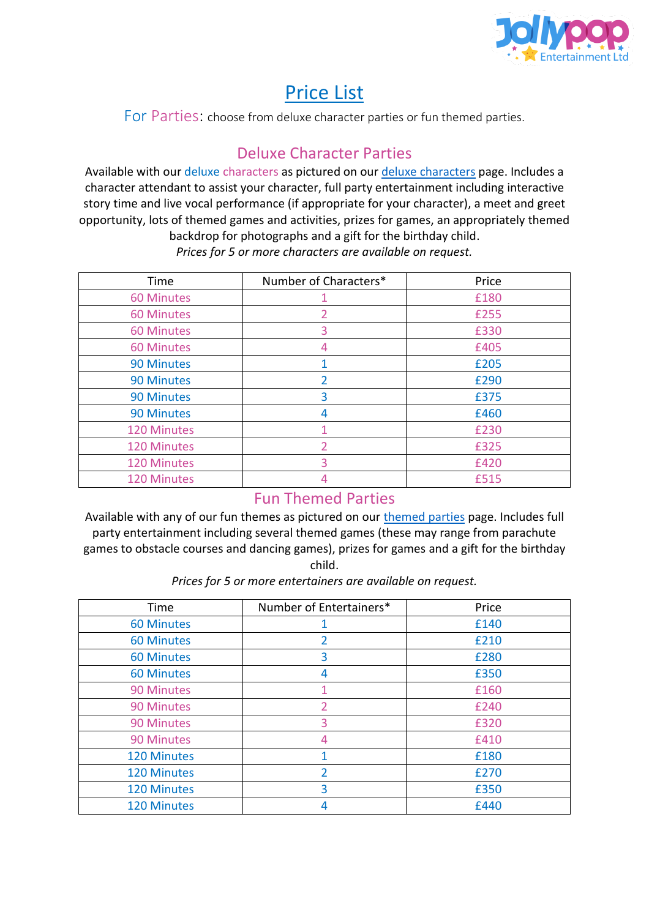

# Price List

For Parties: choose from deluxe character parties or fun themed parties.

### Deluxe Character Parties

Available with our deluxe characters as pictured on ou[r deluxe characters](https://www.jollypopentertainment.co.uk/deluxe-character-parties) page. Includes a character attendant to assist your character, full party entertainment including interactive story time and live vocal performance (if appropriate for your character), a meet and greet opportunity, lots of themed games and activities, prizes for games, an appropriately themed backdrop for photographs and a gift for the birthday child.

*Prices for 5 or more characters are available on request.*

| Time               | Number of Characters*    | Price |
|--------------------|--------------------------|-------|
| <b>60 Minutes</b>  |                          | £180  |
| <b>60 Minutes</b>  | 2                        | £255  |
| <b>60 Minutes</b>  | 3                        | £330  |
| <b>60 Minutes</b>  | 4                        | £405  |
| <b>90 Minutes</b>  |                          | £205  |
| <b>90 Minutes</b>  | 2                        | £290  |
| <b>90 Minutes</b>  | 3                        | £375  |
| <b>90 Minutes</b>  | 4                        | £460  |
| <b>120 Minutes</b> |                          | £230  |
| <b>120 Minutes</b> | $\overline{\phantom{a}}$ | £325  |
| 120 Minutes        | 3                        | £420  |
| <b>120 Minutes</b> | 4                        | £515  |

#### Fun Themed Parties

Available with any of our fun themes as pictured on our [themed parties](https://www.jollypopentertainment.co.uk/themed-parties) page. Includes full party entertainment including several themed games (these may range from parachute games to obstacle courses and dancing games), prizes for games and a gift for the birthday child.

Time | Number of Entertainers\* | Price 60 Minutes 1 1 f 140 60 Minutes 2 and 2 and 2 and 2 and 2 and 2 and 2 and 2 and 2 and 2 and 2 and 2 and 2 and 2 and 2 and 2 and 2 and 2 and 2 and 2 and 2 and 2 and 2 and 2 and 2 and 2 and 2 and 2 and 2 and 2 and 2 and 2 and 2 and 2 and 2 and 2 60 Minutes 3 £280 60 Minutes 4 £350 90 Minutes 1 1 f160 90 Minutes 2 and 2 and 2 and 2 and 2 and 2 and 2 and 2 and 2 and 2 and 2 and 2 and 2 and 2 and 2 and 2 and 2 and 2 and 2 and 2 and 2 and 2 and 2 and 2 and 2 and 2 and 2 and 2 and 2 and 2 and 2 and 2 and 2 and 2 and 2 and 2 90 Minutes 1 20 3 20 E320 90 Minutes 1 **4** <del>1</del> **1 1 1 1 1 1 1 1** 120 Minutes 1 1 f180 120 Minutes 2 and 120 Minutes 2 and 120 Minutes 120 Minutes 120 Minutes 120 Minutes 2012 120 Minutes 2012 120 Minutes 2012 120 Minutes 2012 120 Minutes 2012 1 120 Minutes 120 Minutes 120 Minutes 2012 120 Minutes 2012 120 Minutes 2012 120 Minutes 2012 120 Minutes 2012 1

*Prices for 5 or more entertainers are available on request.*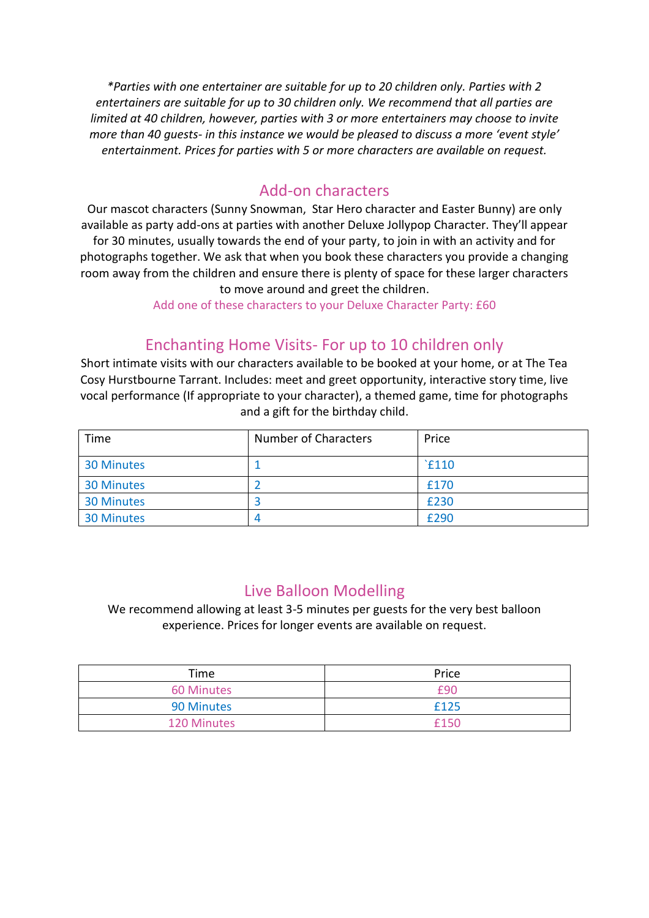*\*Parties with one entertainer are suitable for up to 20 children only. Parties with 2 entertainers are suitable for up to 30 children only. We recommend that all parties are limited at 40 children, however, parties with 3 or more entertainers may choose to invite more than 40 guests- in this instance we would be pleased to discuss a more 'event style' entertainment. Prices for parties with 5 or more characters are available on request.*

#### Add-on characters

Our mascot characters (Sunny Snowman, Star Hero character and Easter Bunny) are only available as party add-ons at parties with another Deluxe Jollypop Character. They'll appear for 30 minutes, usually towards the end of your party, to join in with an activity and for photographs together. We ask that when you book these characters you provide a changing room away from the children and ensure there is plenty of space for these larger characters to move around and greet the children.

Add one of these characters to your Deluxe Character Party: £60

### Enchanting Home Visits- For up to 10 children only

Short intimate visits with our characters available to be booked at your home, or at The Tea Cosy Hurstbourne Tarrant. Includes: meet and greet opportunity, interactive story time, live vocal performance (If appropriate to your character), a themed game, time for photographs and a gift for the birthday child.

| Time              | <b>Number of Characters</b> | Price |
|-------------------|-----------------------------|-------|
| <b>30 Minutes</b> |                             | `£110 |
| <b>30 Minutes</b> |                             | £170  |
| <b>30 Minutes</b> |                             | £230  |
| <b>30 Minutes</b> |                             | £290  |

#### Live Balloon Modelling

We recommend allowing at least 3-5 minutes per guests for the very best balloon experience. Prices for longer events are available on request.

| Time               | Price |
|--------------------|-------|
| <b>60 Minutes</b>  | f90   |
| 90 Minutes         | £125  |
| <b>120 Minutes</b> | f150  |